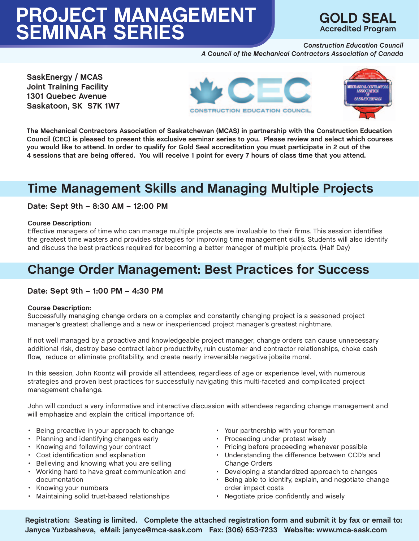

*Construction Education Council A Council of the Mechanical Contractors Association of Canada*

**SaskEnergy / MCAS Joint Training Facility 1301 Quebec Avenue Saskatoon, SK S7K 1W7**





**The Mechanical Contractors Association of Saskatchewan (MCAS) in partnership with the Construction Education Council (CEC) is pleased to present this exclusive seminar series to you. Please review and select which courses you would like to attend. In order to qualify for Gold Seal accreditation you must participate in 2 out of the 4 sessions that are being offered. You will receive 1 point for every 7 hours of class time that you attend.**

# **Time Management Skills and Managing Multiple Projects**

#### **Date: Sept 9th – 8:30 AM – 12:00 PM**

#### **Course Description:**

Effective managers of time who can manage multiple projects are invaluable to their firms. This session identifies the greatest time wasters and provides strategies for improving time management skills. Students will also identify and discuss the best practices required for becoming a better manager of multiple projects. (Half Day)

# **Change Order Management: Best Practices for Success**

#### **Date: Sept 9th – 1:00 PM – 4:30 PM**

#### **Course Description:**

Successfully managing change orders on a complex and constantly changing project is a seasoned project manager's greatest challenge and a new or inexperienced project manager's greatest nightmare.

If not well managed by a proactive and knowledgeable project manager, change orders can cause unnecessary additional risk, destroy base contract labor productivity, ruin customer and contractor relationships, choke cash flow, reduce or eliminate profitability, and create nearly irreversible negative jobsite moral.

In this session, John Koontz will provide all attendees, regardless of age or experience level, with numerous strategies and proven best practices for successfully navigating this multi-faceted and complicated project management challenge.

John will conduct a very informative and interactive discussion with attendees regarding change management and will emphasize and explain the critical importance of:

- Being proactive in your approach to change
- Planning and identifying changes early
- Knowing and following your contract
- Cost identification and explanation
- Believing and knowing what you are selling
- Working hard to have great communication and documentation
- Knowing your numbers
- Maintaining solid trust-based relationships
- Your partnership with your foreman
- Proceeding under protest wisely
- Pricing before proceeding whenever possible
- Understanding the difference between CCD's and Change Orders
- Developing a standardized approach to changes
- Being able to identify, explain, and negotiate change order impact costs
- Negotiate price confidently and wisely

**Registration: Seating is limited. Complete the attached registration form and submit it by fax or email to: Janyce Yuzbasheva, eMail: janyce@mca-sask.com Fax: (306) 653-7233 Website: www.mca-sask.com**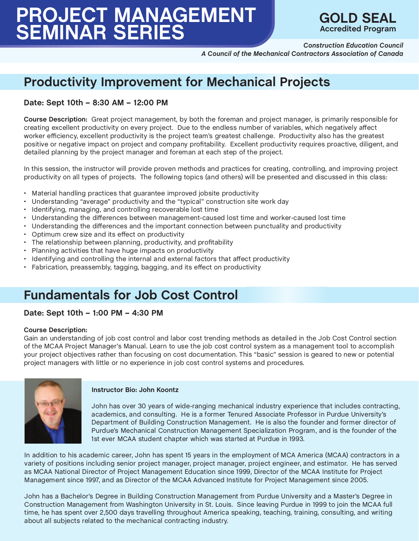

*Construction Education Council A Council of the Mechanical Contractors Association of Canada*

# **Productivity Improvement for Mechanical Projects**

#### **Date: Sept 10th – 8:30 AM – 12:00 PM**

**Course Description:** Great project management, by both the foreman and project manager, is primarily responsible for creating excellent productivity on every project. Due to the endless number of variables, which negatively affect worker efficiency, excellent productivity is the project team's greatest challenge. Productivity also has the greatest positive or negative impact on project and company profitability. Excellent productivity requires proactive, diligent, and detailed planning by the project manager and foreman at each step of the project.

In this session, the instructor will provide proven methods and practices for creating, controlling, and improving project productivity on all types of projects. The following topics (and others) will be presented and discussed in this class:

- Material handling practices that guarantee improved jobsite productivity
- Understanding "average" productivity and the "typical" construction site work day
- Identifying, managing, and controlling recoverable lost time
- Understanding the differences between management-caused lost time and worker-caused lost time
- Understanding the differences and the important connection between punctuality and productivity
- Optimum crew size and its effect on productivity
- The relationship between planning, productivity, and profitability
- Planning activities that have huge impacts on productivity
- Identifying and controlling the internal and external factors that affect productivity
- Fabrication, preassembly, tagging, bagging, and its effect on productivity

# **Fundamentals for Job Cost Control**

#### **Date: Sept 10th – 1:00 PM – 4:30 PM**

#### **Course Description:**

Gain an understanding of job cost control and labor cost trending methods as detailed in the Job Cost Control section of the MCAA Project Manager's Manual. Learn to use the job cost control system as a management tool to accomplish your project objectives rather than focusing on cost documentation. This "basic" session is geared to new or potential project managers with little or no experience in job cost control systems and procedures.



#### **Instructor Bio: John Koontz**

John has over 30 years of wide-ranging mechanical industry experience that includes contracting, academics, and consulting. He is a former Tenured Associate Professor in Purdue University's Department of Building Construction Management. He is also the founder and former director of Purdue's Mechanical Construction Management Specialization Program, and is the founder of the 1st ever MCAA student chapter which was started at Purdue in 1993.

In addition to his academic career, John has spent 15 years in the employment of MCA America (MCAA) contractors in a variety of positions including senior project manager, project manager, project engineer, and estimator. He has served as MCAA National Director of Project Management Education since 1999, Director of the MCAA Institute for Project Management since 1997, and as Director of the MCAA Advanced Institute for Project Management since 2005.

John has a Bachelor's Degree in Building Construction Management from Purdue University and a Master's Degree in Construction Management from Washington University in St. Louis. Since leaving Purdue in 1999 to join the MCAA full time, he has spent over 2,500 days travelling throughout America speaking, teaching, training, consulting, and writing about all subjects related to the mechanical contracting industry.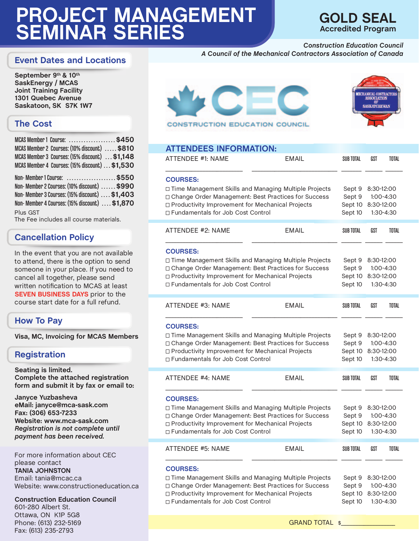## **GOLD SEAL Accredited Program**

*Construction Education Council*

*A Council of the Mechanical Contractors Association of Canada*

#### **Event Dates and Locations**

**September 9th & 10th SaskEnergy / MCAS Joint Training Facility 1301 Quebec Avenue Saskatoon, SK S7K 1W7**

## **The Cost**

| MCAS Member 1 Course: \$450                        |  |  |  |  |
|----------------------------------------------------|--|--|--|--|
| MCAS Member 2 Courses: (10% discount)  \$810       |  |  |  |  |
| MCAS Member 3 Courses: (15% discount)  \$1,148     |  |  |  |  |
| MCAS Member 4 Courses: (15% discount) \$1,530      |  |  |  |  |
| Non- Member 1 Course: \$550                        |  |  |  |  |
| Non-Member 2 Courses: (10% discount)  \$990        |  |  |  |  |
| Non-Member 3 Courses: (15% discount)  \$1,403      |  |  |  |  |
| Non-Member 4 Courses: (15% discount)  \$1,870      |  |  |  |  |
| Plus GST<br>The Fee includes all course materials. |  |  |  |  |

### **Cancellation Policy**

In the event that you are not available to attend, there is the option to send someone in your place. If you need to cancel all together, please send written notification to MCAS at least **SEVEN BUSINESS DAYS** prior to the course start date for a full refund.

#### **How To Pay**

**Visa, MC, Invoicing for MCAS Members**

### **Registration**

**Seating is limited. Complete the attached registration form and submit it by fax or email to:** 

**Janyce Yuzbasheva eMail: janyce@mca-sask.com Fax: (306) 653-7233 Website: www.mca-sask.com**  *Registration is not complete until payment has been received.*

For more information about CEC please contact **TANIA JOHNSTON**  Email: tania@mcac.ca Website: www.constructioneducation.ca

**Construction Education Council**  601-280 Albert St. Ottawa, ON K1P 5G8 Phone: (613) 232-5169 Fax: (613) 235-2793





#### **ATTENDEES INFORMATION:**

| ATTENDEE #1: NAME                                                                                                                                                                                                                | <b>EMAIL</b> | <b>SUB TOTAL</b> | GST                                                                                          | <b>TOTAL</b>           |  |
|----------------------------------------------------------------------------------------------------------------------------------------------------------------------------------------------------------------------------------|--------------|------------------|----------------------------------------------------------------------------------------------|------------------------|--|
| <b>COURSES:</b><br>□ Time Management Skills and Managing Multiple Projects<br>Change Order Management: Best Practices for Success<br>□ Productivity Improvement for Mechanical Projects<br>□ Fundamentals for Job Cost Control   |              |                  | 8:30-12:00<br>1:00-4:30<br>8:30-12:00<br>1:30-4:30                                           |                        |  |
| ATTENDEE #2: NAME                                                                                                                                                                                                                | <b>EMAIL</b> | SUB TOTAL        | GST                                                                                          | <b>TOTAL</b>           |  |
| <b>COURSES:</b><br>□ Time Management Skills and Managing Multiple Projects<br>Change Order Management: Best Practices for Success<br>□ Productivity Improvement for Mechanical Projects<br>□ Fundamentals for Job Cost Control   |              |                  | Sept 9<br>8:30-12:00<br>Sept 9<br>1:00-4:30<br>Sept 10<br>8:30-12:00<br>Sept 10<br>1:30-4:30 |                        |  |
| ATTENDEE #3: NAME                                                                                                                                                                                                                | <b>EMAIL</b> | SUB TOTAL        | GST                                                                                          | <b>TOTAL</b>           |  |
| <b>COURSES:</b><br>□ Time Management Skills and Managing Multiple Projects<br>Change Order Management: Best Practices for Success<br>□ Productivity Improvement for Mechanical Projects<br>□ Fundamentals for Job Cost Control   |              |                  | 8:30-12:00<br>1:00-4:30<br>Sept 10<br>8:30-12:00<br>1:30-4:30                                |                        |  |
| ATTENDEE #4: NAME                                                                                                                                                                                                                | <b>EMAIL</b> | SUB TOTAL        | GST                                                                                          | <b>TOTAL</b>           |  |
| <b>COURSES:</b><br>□ Time Management Skills and Managing Multiple Projects<br>□ Change Order Management: Best Practices for Success<br>□ Productivity Improvement for Mechanical Projects<br>□ Fundamentals for Job Cost Control |              |                  | 8:30-12:00<br>8:30-12:00                                                                     | 1:00-4:30<br>1:30-4:30 |  |
| ATTENDEE #5: NAME                                                                                                                                                                                                                | <b>EMAIL</b> | SUB TOTAL        | GST                                                                                          | <b>TOTAL</b>           |  |
| <b>COURSES:</b><br>□ Time Management Skills and Managing Multiple Projects<br>Change Order Management: Best Practices for Success<br>□ Productivity Improvement for Mechanical Projects<br>□ Fundamentals for Job Cost Control   |              |                  | 8:30-12:00<br>8:30-12:00                                                                     | 1:00-4:30<br>1:30-4:30 |  |

GRAND TOTAL \$